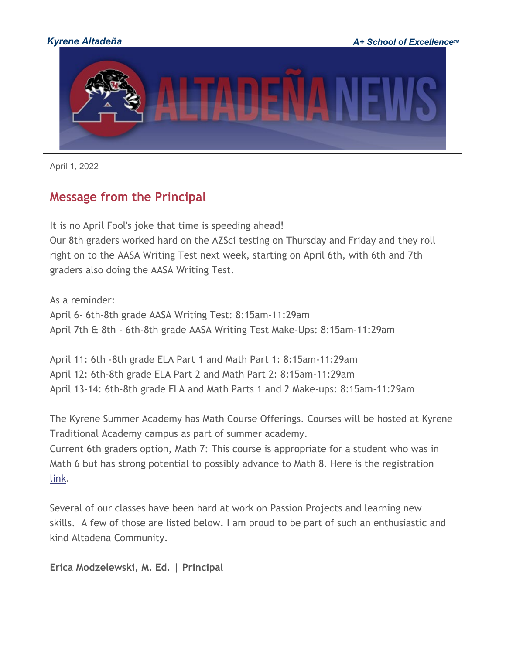

April 1, 2022

# **Message from the Principal**

It is no April Fool's joke that time is speeding ahead! Our 8th graders worked hard on the AZSci testing on Thursday and Friday and they roll right on to the AASA Writing Test next week, starting on April 6th, with 6th and 7th graders also doing the AASA Writing Test.

As a reminder: April 6- 6th-8th grade AASA Writing Test: 8:15am-11:29am April 7th & 8th - 6th-8th grade AASA Writing Test Make-Ups: 8:15am-11:29am

April 11: 6th -8th grade ELA Part 1 and Math Part 1: 8:15am-11:29am April 12: 6th-8th grade ELA Part 2 and Math Part 2: 8:15am-11:29am April 13-14: 6th-8th grade ELA and Math Parts 1 and 2 Make-ups: 8:15am-11:29am

The Kyrene Summer Academy has Math Course Offerings. Courses will be hosted at Kyrene Traditional Academy campus as part of summer academy. Current 6th graders option, Math 7: This course is appropriate for a student who was in Math 6 but has strong potential to possibly advance to Math 8. Here is the registration [link.](http://track.spe.schoolmessenger.com/f/a/ZgHX5lA4U4KcyoG57aYsRQ%7E%7E/AAAAAQA%7E/RgRkKMh2P0RlaHR0cHM6Ly9reXJlbmUuY2UuZWxleW8uY29tL2NvdXJzZS8yMzMxL3N1bW1lci1hY2FkZW15LTIwMjIva3lyZW5lLXRyYWRpdGlvbmFsLWFjYWRlbXktc3VtbWVyLWFjYWRlbXlXB3NjaG9vbG1CCmJD9pRHYnN5pkNSEHNyYXRoQGt5cmVuZS5vcmdYBAAAAAE%7E)

Several of our classes have been hard at work on Passion Projects and learning new skills. A few of those are listed below. I am proud to be part of such an enthusiastic and kind Altadena Community.

**Erica Modzelewski, M. Ed. | Principal**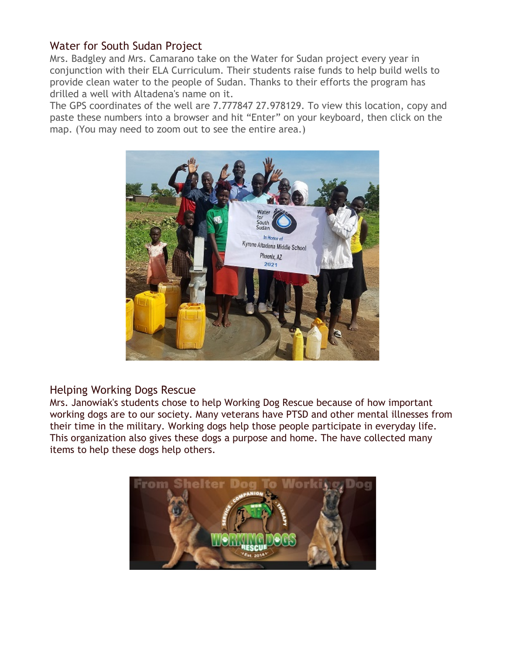### Water for South Sudan Project

Mrs. Badgley and Mrs. Camarano take on the Water for Sudan project every year in conjunction with their ELA Curriculum. Their students raise funds to help build wells to provide clean water to the people of Sudan. Thanks to their efforts the program has drilled a well with Altadena's name on it.

The GPS coordinates of the well are 7.777847 27.978129. To view this location, copy and paste these numbers into a browser and hit "Enter" on your keyboard, then click on the map. (You may need to zoom out to see the entire area.)



### Helping Working Dogs Rescue

Mrs. Janowiak's students chose to help Working Dog Rescue because of how important working dogs are to our society. Many veterans have PTSD and other mental illnesses from their time in the military. Working dogs help those people participate in everyday life. This organization also gives these dogs a purpose and home. The have collected many items to help these dogs help others.

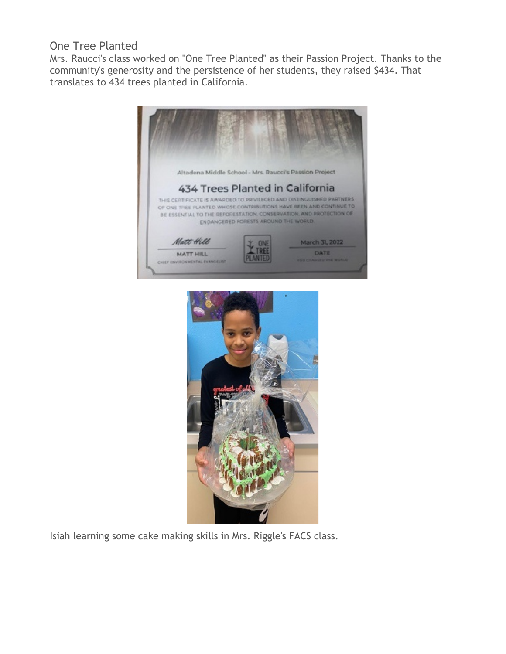## One Tree Planted

Mrs. Raucci's class worked on "One Tree Planted" as their Passion Project. Thanks to the community's generosity and the persistence of her students, they raised \$434. That translates to 434 trees planted in California.





Isiah learning some cake making skills in Mrs. Riggle's FACS class.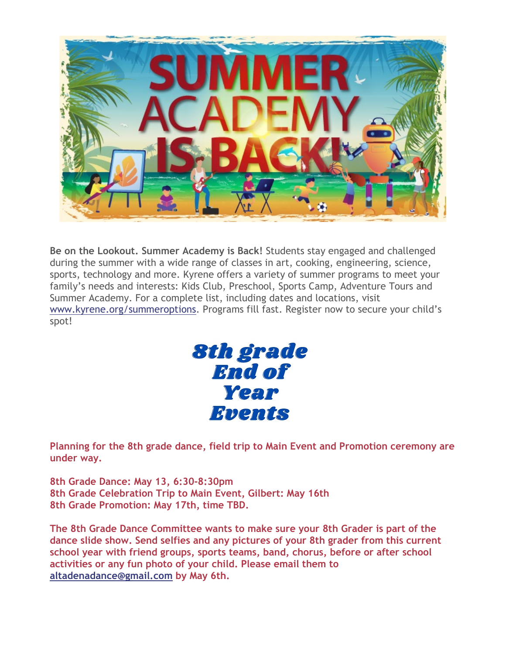

**Be on the Lookout. Summer Academy is Back!** Students stay engaged and challenged during the summer with a wide range of classes in art, cooking, engineering, science, sports, technology and more. Kyrene offers a variety of summer programs to meet your family's needs and interests: Kids Club, Preschool, Sports Camp, Adventure Tours and Summer Academy. For a complete list, including dates and locations, visi[t](http://track.spe.schoolmessenger.com/f/a/6Hj-ZtxGC7ktDqmYkC-N1A%7E%7E/AAAAAQA%7E/RgRkKMh2P0QjaHR0cDovL3d3dy5reXJlbmUub3JnL3N1bW1lcm9wdGlvbnNXB3NjaG9vbG1CCmJD9pRHYnN5pkNSEHNyYXRoQGt5cmVuZS5vcmdYBAAAAAE%7E) [www.kyrene.org/summeroptions.](http://track.spe.schoolmessenger.com/f/a/6Hj-ZtxGC7ktDqmYkC-N1A%7E%7E/AAAAAQA%7E/RgRkKMh2P0QjaHR0cDovL3d3dy5reXJlbmUub3JnL3N1bW1lcm9wdGlvbnNXB3NjaG9vbG1CCmJD9pRHYnN5pkNSEHNyYXRoQGt5cmVuZS5vcmdYBAAAAAE%7E) Programs fill fast. Register now to secure your child's spot!



**Planning for the 8th grade dance, field trip to Main Event and Promotion ceremony are under way.**

**8th Grade Dance: May 13, 6:30-8:30pm 8th Grade Celebration Trip to Main Event, Gilbert: May 16th 8th Grade Promotion: May 17th, time TBD.**

**The 8th Grade Dance Committee wants to make sure your 8th Grader is part of the dance slide show. Send selfies and any pictures of your 8th grader from this current school year with friend groups, sports teams, band, chorus, before or after school activities or any fun photo of your child. Please email them to [altadenadance@gmail.com](mailto:altadenadance@gmail.com) by May 6th.**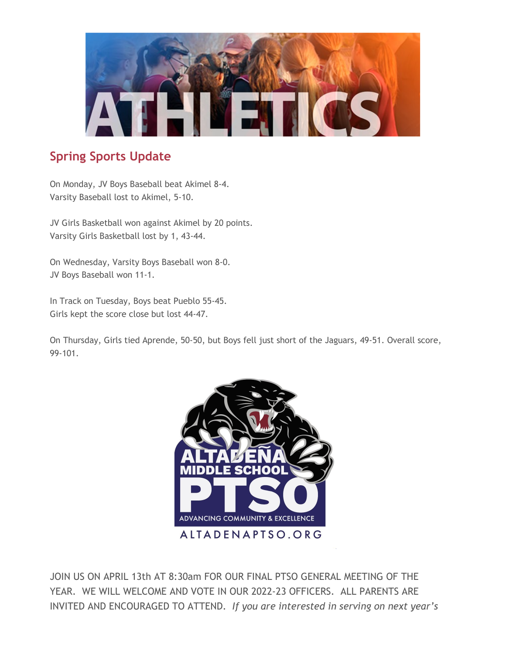

# **Spring Sports Update**

On Monday, JV Boys Baseball beat Akimel 8-4. Varsity Baseball lost to Akimel, 5-10.

JV Girls Basketball won against Akimel by 20 points. Varsity Girls Basketball lost by 1, 43-44.

On Wednesday, Varsity Boys Baseball won 8-0. JV Boys Baseball won 11-1.

In Track on Tuesday, Boys beat Pueblo 55-45. Girls kept the score close but lost 44-47.

On Thursday, Girls tied Aprende, 50-50, but Boys fell just short of the Jaguars, 49-51. Overall score, 99-101.



JOIN US ON APRIL 13th AT 8:30am FOR OUR FINAL PTSO GENERAL MEETING OF THE YEAR. WE WILL WELCOME AND VOTE IN OUR 2022-23 OFFICERS. ALL PARENTS ARE INVITED AND ENCOURAGED TO ATTEND. *If you are interested in serving on next year's*